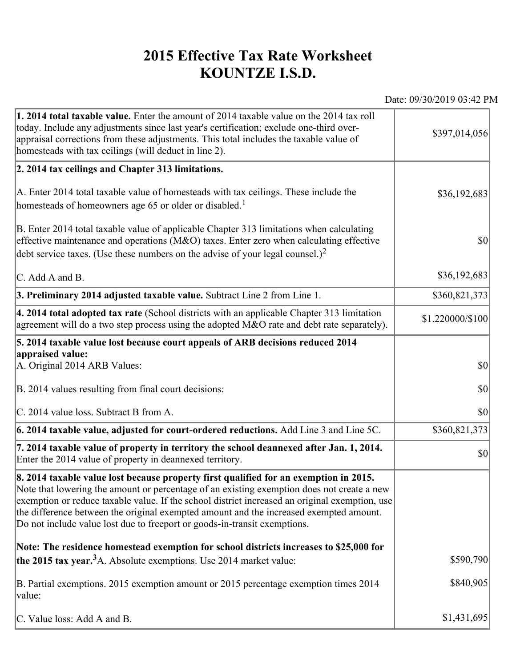## **2015 Effective Tax Rate Worksheet KOUNTZE I.S.D.**

Date: 09/30/2019 03:42 PM

| 1. 2014 total taxable value. Enter the amount of 2014 taxable value on the 2014 tax roll<br>today. Include any adjustments since last year's certification; exclude one-third over-<br>appraisal corrections from these adjustments. This total includes the taxable value of<br>homesteads with tax ceilings (will deduct in line 2).                                                                                                                       | \$397,014,056    |
|--------------------------------------------------------------------------------------------------------------------------------------------------------------------------------------------------------------------------------------------------------------------------------------------------------------------------------------------------------------------------------------------------------------------------------------------------------------|------------------|
| 2. 2014 tax ceilings and Chapter 313 limitations.                                                                                                                                                                                                                                                                                                                                                                                                            |                  |
| A. Enter 2014 total taxable value of homesteads with tax ceilings. These include the<br>homesteads of homeowners age 65 or older or disabled. <sup>1</sup>                                                                                                                                                                                                                                                                                                   | \$36,192,683     |
| B. Enter 2014 total taxable value of applicable Chapter 313 limitations when calculating<br>effective maintenance and operations ( $M&O$ ) taxes. Enter zero when calculating effective<br>debt service taxes. (Use these numbers on the advise of your legal counsel.) <sup>2</sup>                                                                                                                                                                         | $ 10\rangle$     |
| C. Add A and B.                                                                                                                                                                                                                                                                                                                                                                                                                                              | \$36,192,683     |
| 3. Preliminary 2014 adjusted taxable value. Subtract Line 2 from Line 1.                                                                                                                                                                                                                                                                                                                                                                                     | \$360,821,373    |
| $\vert$ 4. 2014 total adopted tax rate (School districts with an applicable Chapter 313 limitation<br>agreement will do a two step process using the adopted M&O rate and debt rate separately).                                                                                                                                                                                                                                                             | \$1.220000/\$100 |
| 5. 2014 taxable value lost because court appeals of ARB decisions reduced 2014                                                                                                                                                                                                                                                                                                                                                                               |                  |
| appraised value:<br>A. Original 2014 ARB Values:                                                                                                                                                                                                                                                                                                                                                                                                             | $ 10\rangle$     |
| B. 2014 values resulting from final court decisions:                                                                                                                                                                                                                                                                                                                                                                                                         | \$0              |
| C. 2014 value loss. Subtract B from A.                                                                                                                                                                                                                                                                                                                                                                                                                       | $ 10\rangle$     |
| $\vert$ 6. 2014 taxable value, adjusted for court-ordered reductions. Add Line 3 and Line 5C.                                                                                                                                                                                                                                                                                                                                                                | \$360,821,373    |
| 7. 2014 taxable value of property in territory the school deannexed after Jan. 1, 2014.<br>Enter the 2014 value of property in deannexed territory.                                                                                                                                                                                                                                                                                                          | $ 10\rangle$     |
| 8. 2014 taxable value lost because property first qualified for an exemption in 2015.<br>Note that lowering the amount or percentage of an existing exemption does not create a new<br>exemption or reduce taxable value. If the school district increased an original exemption, use<br>the difference between the original exempted amount and the increased exempted amount.<br>Do not include value lost due to freeport or goods-in-transit exemptions. |                  |
| Note: The residence homestead exemption for school districts increases to \$25,000 for                                                                                                                                                                                                                                                                                                                                                                       |                  |
| the 2015 tax year. <sup>3</sup> A. Absolute exemptions. Use 2014 market value:                                                                                                                                                                                                                                                                                                                                                                               | \$590,790        |
| B. Partial exemptions. 2015 exemption amount or 2015 percentage exemption times 2014<br>value:                                                                                                                                                                                                                                                                                                                                                               | \$840,905        |
| C. Value loss: Add A and B.                                                                                                                                                                                                                                                                                                                                                                                                                                  | \$1,431,695      |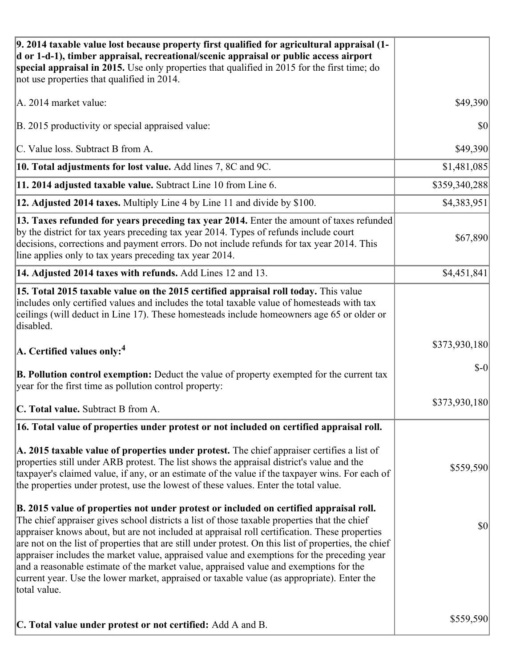| 9. 2014 taxable value lost because property first qualified for agricultural appraisal (1-<br>d or 1-d-1), timber appraisal, recreational/scenic appraisal or public access airport<br>special appraisal in 2015. Use only properties that qualified in 2015 for the first time; do<br>not use properties that qualified in 2014.                                                                                                                                                                                                                                                                                                                                                                     |               |
|-------------------------------------------------------------------------------------------------------------------------------------------------------------------------------------------------------------------------------------------------------------------------------------------------------------------------------------------------------------------------------------------------------------------------------------------------------------------------------------------------------------------------------------------------------------------------------------------------------------------------------------------------------------------------------------------------------|---------------|
| A. 2014 market value:                                                                                                                                                                                                                                                                                                                                                                                                                                                                                                                                                                                                                                                                                 | \$49,390      |
| B. 2015 productivity or special appraised value:                                                                                                                                                                                                                                                                                                                                                                                                                                                                                                                                                                                                                                                      | 30            |
| C. Value loss. Subtract B from A.                                                                                                                                                                                                                                                                                                                                                                                                                                                                                                                                                                                                                                                                     | \$49,390      |
| 10. Total adjustments for lost value. Add lines 7, 8C and 9C.                                                                                                                                                                                                                                                                                                                                                                                                                                                                                                                                                                                                                                         | \$1,481,085   |
| 11. 2014 adjusted taxable value. Subtract Line 10 from Line 6.                                                                                                                                                                                                                                                                                                                                                                                                                                                                                                                                                                                                                                        | \$359,340,288 |
| 12. Adjusted 2014 taxes. Multiply Line 4 by Line 11 and divide by \$100.                                                                                                                                                                                                                                                                                                                                                                                                                                                                                                                                                                                                                              | \$4,383,951   |
| 13. Taxes refunded for years preceding tax year 2014. Enter the amount of taxes refunded<br>by the district for tax years preceding tax year 2014. Types of refunds include court<br>decisions, corrections and payment errors. Do not include refunds for tax year 2014. This<br>line applies only to tax years preceding tax year 2014.                                                                                                                                                                                                                                                                                                                                                             | \$67,890      |
| 14. Adjusted 2014 taxes with refunds. Add Lines 12 and 13.                                                                                                                                                                                                                                                                                                                                                                                                                                                                                                                                                                                                                                            | \$4,451,841   |
| 15. Total 2015 taxable value on the 2015 certified appraisal roll today. This value<br>includes only certified values and includes the total taxable value of homesteads with tax<br>ceilings (will deduct in Line 17). These homesteads include homeowners age 65 or older or<br>disabled.                                                                                                                                                                                                                                                                                                                                                                                                           |               |
| $ A$ . Certified values only: <sup>4</sup>                                                                                                                                                                                                                                                                                                                                                                                                                                                                                                                                                                                                                                                            | \$373,930,180 |
| <b>B. Pollution control exemption:</b> Deduct the value of property exempted for the current tax<br>year for the first time as pollution control property:                                                                                                                                                                                                                                                                                                                                                                                                                                                                                                                                            | $$-0$         |
| C. Total value. Subtract B from A.                                                                                                                                                                                                                                                                                                                                                                                                                                                                                                                                                                                                                                                                    | \$373,930,180 |
| 16. Total value of properties under protest or not included on certified appraisal roll.                                                                                                                                                                                                                                                                                                                                                                                                                                                                                                                                                                                                              |               |
| A. 2015 taxable value of properties under protest. The chief appraiser certifies a list of<br>properties still under ARB protest. The list shows the appraisal district's value and the<br>taxpayer's claimed value, if any, or an estimate of the value if the taxpayer wins. For each of<br>the properties under protest, use the lowest of these values. Enter the total value.                                                                                                                                                                                                                                                                                                                    | \$559,590     |
| B. 2015 value of properties not under protest or included on certified appraisal roll.<br>The chief appraiser gives school districts a list of those taxable properties that the chief<br>appraiser knows about, but are not included at appraisal roll certification. These properties<br>are not on the list of properties that are still under protest. On this list of properties, the chief<br>appraiser includes the market value, appraised value and exemptions for the preceding year<br>and a reasonable estimate of the market value, appraised value and exemptions for the<br>current year. Use the lower market, appraised or taxable value (as appropriate). Enter the<br>total value. | \$0           |
| C. Total value under protest or not certified: Add A and B.                                                                                                                                                                                                                                                                                                                                                                                                                                                                                                                                                                                                                                           | \$559,590     |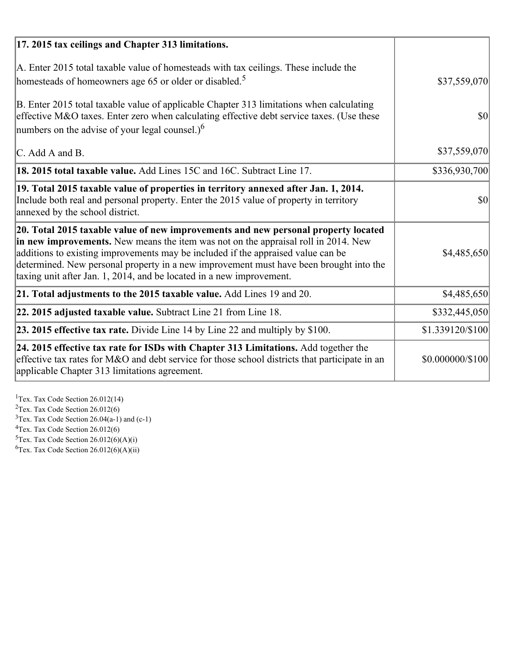| 17. 2015 tax ceilings and Chapter 313 limitations.                                                                                                                                                                                                                                                                                                                                                                             |                  |
|--------------------------------------------------------------------------------------------------------------------------------------------------------------------------------------------------------------------------------------------------------------------------------------------------------------------------------------------------------------------------------------------------------------------------------|------------------|
| A. Enter 2015 total taxable value of homesteads with tax ceilings. These include the<br>homesteads of homeowners age 65 or older or disabled. <sup>5</sup>                                                                                                                                                                                                                                                                     | \$37,559,070     |
| B. Enter 2015 total taxable value of applicable Chapter 313 limitations when calculating<br>effective M&O taxes. Enter zero when calculating effective debt service taxes. (Use these<br>numbers on the advise of your legal counsel.) <sup>6</sup>                                                                                                                                                                            | $\vert$ \$0      |
| C. Add A and B.                                                                                                                                                                                                                                                                                                                                                                                                                | \$37,559,070     |
| 18. 2015 total taxable value. Add Lines 15C and 16C. Subtract Line 17.                                                                                                                                                                                                                                                                                                                                                         | \$336,930,700    |
| 19. Total 2015 taxable value of properties in territory annexed after Jan. 1, 2014.<br>Include both real and personal property. Enter the 2015 value of property in territory<br>annexed by the school district.                                                                                                                                                                                                               | 30               |
| 20. Total 2015 taxable value of new improvements and new personal property located<br>in new improvements. New means the item was not on the appraisal roll in 2014. New<br>additions to existing improvements may be included if the appraised value can be<br>determined. New personal property in a new improvement must have been brought into the<br>taxing unit after Jan. 1, 2014, and be located in a new improvement. | \$4,485,650      |
| 21. Total adjustments to the 2015 taxable value. Add Lines 19 and 20.                                                                                                                                                                                                                                                                                                                                                          | \$4,485,650      |
| $ 22.2015$ adjusted taxable value. Subtract Line 21 from Line 18.                                                                                                                                                                                                                                                                                                                                                              | \$332,445,050    |
| <b>23. 2015 effective tax rate.</b> Divide Line 14 by Line 22 and multiply by \$100.                                                                                                                                                                                                                                                                                                                                           | \$1.339120/\$100 |
| 24. 2015 effective tax rate for ISDs with Chapter 313 Limitations. Add together the<br>effective tax rates for M&O and debt service for those school districts that participate in an<br>applicable Chapter 313 limitations agreement.                                                                                                                                                                                         | \$0.000000/\$100 |

<sup>1</sup>Tex. Tax Code Section 26.012(14)  $2$ Tex. Tax Code Section 26.012(6)  $3$ Tex. Tax Code Section 26.04(a-1) and (c-1)  $4$ Tex. Tax Code Section 26.012(6)  ${}^{5}$ Tex. Tax Code Section 26.012(6)(A)(i)

 ${}^{6}$ Tex. Tax Code Section 26.012(6)(A)(ii)